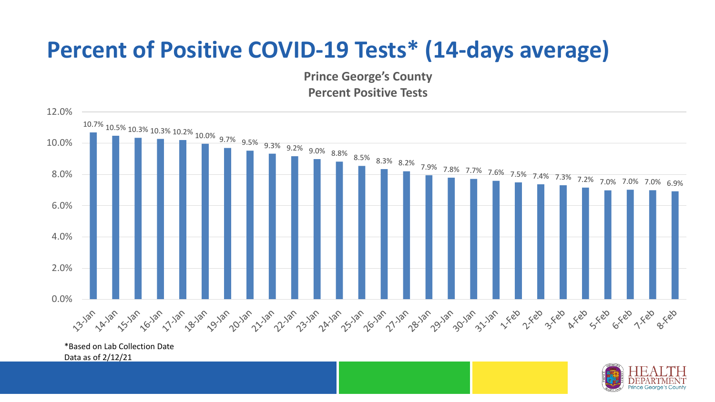## **Percent of Positive COVID-19 Tests\* (14-days average)**

**Prince George's County Percent Positive Tests**



\*Based on Lab Collection Date Data as of 2/12/21

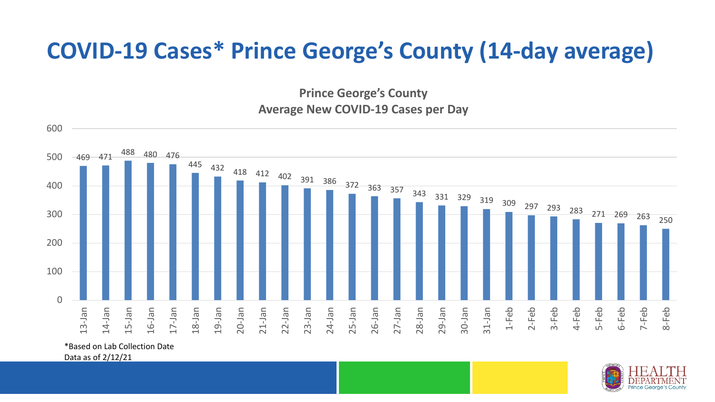## **COVID-19 Cases\* Prince George's County (14-day average)**

**Prince George's County Average New COVID-19 Cases per Day**



\*Based on Lab Collection Date

Data as of 2/12/21